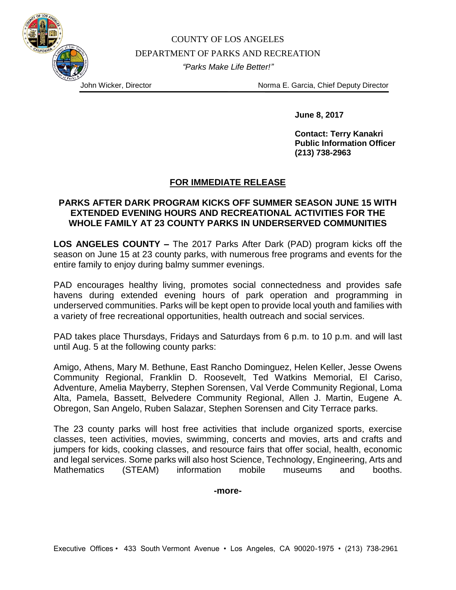## COUNTY OF LOS ANGELES DEPARTMENT OF PARKS AND RECREATION *"Parks Make Life Better!"*

John Wicker, Director Norma E. Garcia, Chief Deputy Director

**June 8, 2017**

**Contact: Terry Kanakri Public Information Officer (213) 738-2963**

## **FOR IMMEDIATE RELEASE**

## **PARKS AFTER DARK PROGRAM KICKS OFF SUMMER SEASON JUNE 15 WITH EXTENDED EVENING HOURS AND RECREATIONAL ACTIVITIES FOR THE WHOLE FAMILY AT 23 COUNTY PARKS IN UNDERSERVED COMMUNITIES**

**LOS ANGELES COUNTY –** The 2017 Parks After Dark (PAD) program kicks off the season on June 15 at 23 county parks, with numerous free programs and events for the entire family to enjoy during balmy summer evenings.

PAD encourages healthy living, promotes social connectedness and provides safe havens during extended evening hours of park operation and programming in underserved communities. Parks will be kept open to provide local youth and families with a variety of free recreational opportunities, health outreach and social services.

PAD takes place Thursdays, Fridays and Saturdays from 6 p.m. to 10 p.m. and will last until Aug. 5 at the following county parks:

Amigo, Athens, Mary M. Bethune, East Rancho Dominguez, Helen Keller, Jesse Owens Community Regional, Franklin D. Roosevelt, Ted Watkins Memorial, El Cariso, Adventure, Amelia Mayberry, Stephen Sorensen, Val Verde Community Regional, Loma Alta, Pamela, Bassett, Belvedere Community Regional, Allen J. Martin, Eugene A. Obregon, San Angelo, Ruben Salazar, Stephen Sorensen and City Terrace parks.

The 23 county parks will host free activities that include organized sports, exercise classes, teen activities, movies, swimming, concerts and movies, arts and crafts and jumpers for kids, cooking classes, and resource fairs that offer social, health, economic and legal services. Some parks will also host Science, Technology, Engineering, Arts and Mathematics (STEAM) information mobile museums and booths.

**-more-**